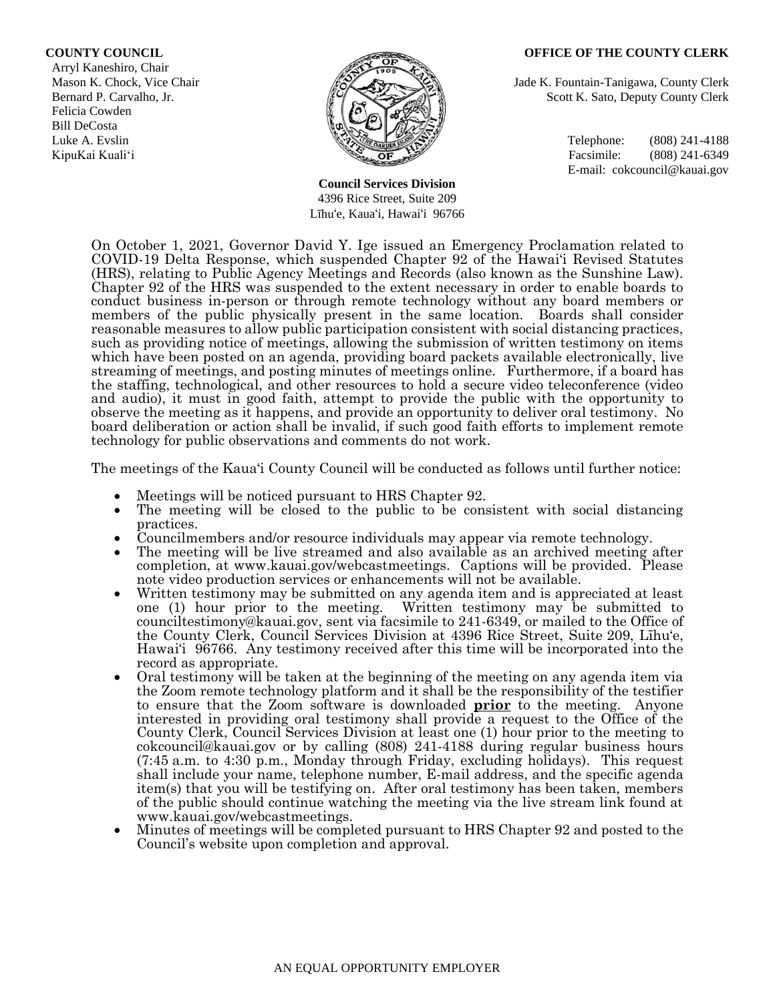Arryl Kaneshiro, Chair Felicia Cowden Bill DeCosta Luke A. Evslin  $\mathbb{R}^n$  Telephone: (808) 241-4188



**Council Services Division** 4396 Rice Street, Suite 209 Līhu'e, Kaua'i, Hawai'i 96766

#### **COUNTY COUNCIL OFFICE OF THE COUNTY CLERK**

Mason K. Chock, Vice Chair Jade K. Fountain-Tanigawa, County Clerk Bernard P. Carvalho, Jr. Scott K. Sato, Deputy County Clerk

KipuKai Kuali'i Facsimile: (808) 241-6349 E-mail: cokcouncil@kauai.gov

On October 1, 2021, Governor David Y. Ige issued an Emergency Proclamation related to COVID-19 Delta Response, which suspended Chapter 92 of the Hawai'i Revised Statutes (HRS), relating to Public Agency Meetings and Records (also known as the Sunshine Law). Chapter 92 of the HRS was suspended to the extent necessary in order to enable boards to conduct business in-person or through remote technology without any board members or members of the public physically present in the same location. Boards shall consider reasonable measures to allow public participation consistent with social distancing practices, such as providing notice of meetings, allowing the submission of written testimony on items which have been posted on an agenda, providing board packets available electronically, live streaming of meetings, and posting minutes of meetings online. Furthermore, if a board has the staffing, technological, and other resources to hold a secure video teleconference (video and audio), it must in good faith, attempt to provide the public with the opportunity to observe the meeting as it happens, and provide an opportunity to deliver oral testimony. No board deliberation or action shall be invalid, if such good faith efforts to implement remote technology for public observations and comments do not work.

The meetings of the Kaua'i County Council will be conducted as follows until further notice:

- Meetings will be noticed pursuant to HRS Chapter 92.
- The meeting will be closed to the public to be consistent with social distancing practices.
- Councilmembers and/or resource individuals may appear via remote technology.
- The meeting will be live streamed and also available as an archived meeting after completion, at www.kauai.gov/webcastmeetings. Captions will be provided. Please note video production services or enhancements will not be available.
- Written testimony may be submitted on any agenda item and is appreciated at least one (1) hour prior to the meeting. Written testimony may be submitted to counciltestimony@kauai.gov, sent via facsimile to 241-6349, or mailed to the Office of the County Clerk, Council Services Division at 4396 Rice Street, Suite 209, Līhu'e, Hawai'i 96766. Any testimony received after this time will be incorporated into the record as appropriate.
- Oral testimony will be taken at the beginning of the meeting on any agenda item via the Zoom remote technology platform and it shall be the responsibility of the testifier to ensure that the Zoom software is downloaded **prior** to the meeting. Anyone interested in providing oral testimony shall provide a request to the Office of the County Clerk, Council Services Division at least one (1) hour prior to the meeting to cokcouncil@kauai.gov or by calling (808) 241-4188 during regular business hours (7:45 a.m. to 4:30 p.m., Monday through Friday, excluding holidays). This request shall include your name, telephone number, E-mail address, and the specific agenda item(s) that you will be testifying on. After oral testimony has been taken, members of the public should continue watching the meeting via the live stream link found at www.kauai.gov/webcastmeetings.
- Minutes of meetings will be completed pursuant to HRS Chapter 92 and posted to the Council's website upon completion and approval.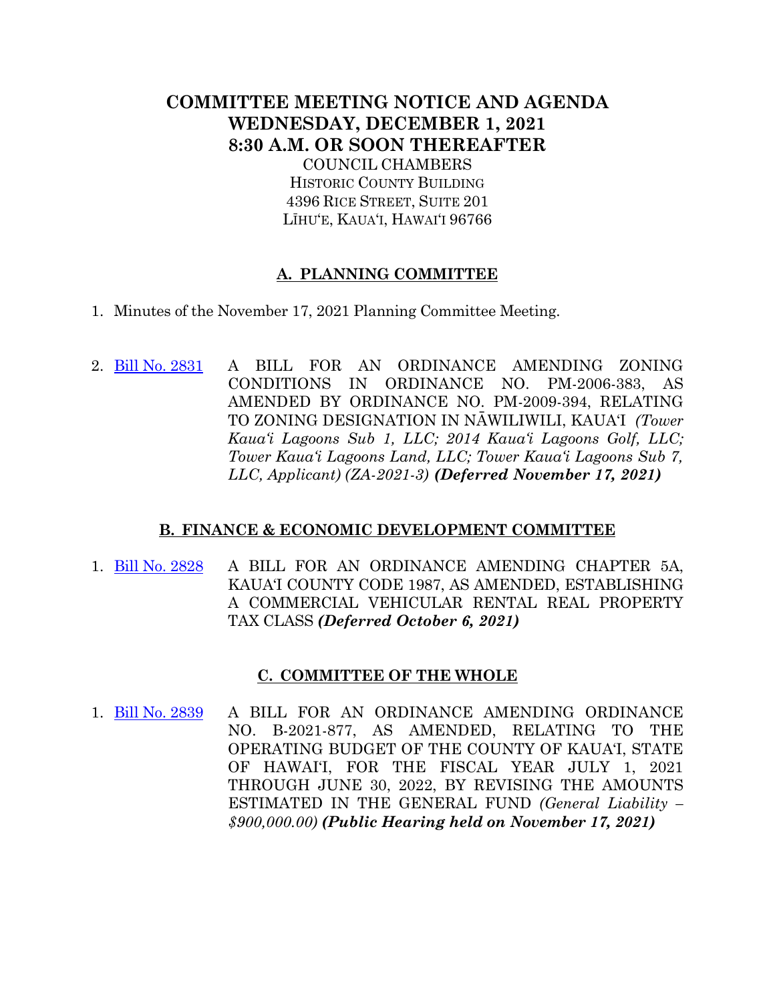# **COMMITTEE MEETING NOTICE AND AGENDA WEDNESDAY, DECEMBER 1, 2021 8:30 A.M. OR SOON THEREAFTER**

COUNCIL CHAMBERS HISTORIC COUNTY BUILDING 4396 RICE STREET, SUITE 201 LĪHU'E, KAUA'I, HAWAI'I 96766

## **A. PLANNING COMMITTEE**

- 1. Minutes of the November 17, 2021 Planning Committee Meeting.
- 2. [Bill No. 2831](https://kauai.granicus.com/MetaViewer.php?meta_id=154929) A BILL FOR AN ORDINANCE AMENDING ZONING CONDITIONS IN ORDINANCE NO. PM-2006-383, AS AMENDED BY ORDINANCE NO. PM-2009-394, RELATING TO ZONING DESIGNATION IN NĀWILIWILI, KAUA'I *(Tower Kaua'i Lagoons Sub 1, LLC; 2014 Kaua'i Lagoons Golf, LLC; Tower Kaua'i Lagoons Land, LLC; Tower Kaua'i Lagoons Sub 7, LLC, Applicant) (ZA-2021-3) (Deferred November 17, 2021)*

### **B. FINANCE & ECONOMIC DEVELOPMENT COMMITTEE**

1. [Bill No. 2828](https://kauai.granicus.com/MetaViewer.php?meta_id=154927) A BILL FOR AN ORDINANCE AMENDING CHAPTER 5A, KAUA'I COUNTY CODE 1987, AS AMENDED, ESTABLISHING A COMMERCIAL VEHICULAR RENTAL REAL PROPERTY TAX CLASS *(Deferred October 6, 2021)*

### **C. COMMITTEE OF THE WHOLE**

1. [Bill No. 2839](https://kauai.granicus.com/MetaViewer.php?meta_id=154931) A BILL FOR AN ORDINANCE AMENDING ORDINANCE NO. B-2021-877, AS AMENDED, RELATING TO THE OPERATING BUDGET OF THE COUNTY OF KAUA'I, STATE OF HAWAI'I, FOR THE FISCAL YEAR JULY 1, 2021 THROUGH JUNE 30, 2022, BY REVISING THE AMOUNTS ESTIMATED IN THE GENERAL FUND *(General Liability – \$900,000.00) (Public Hearing held on November 17, 2021)*